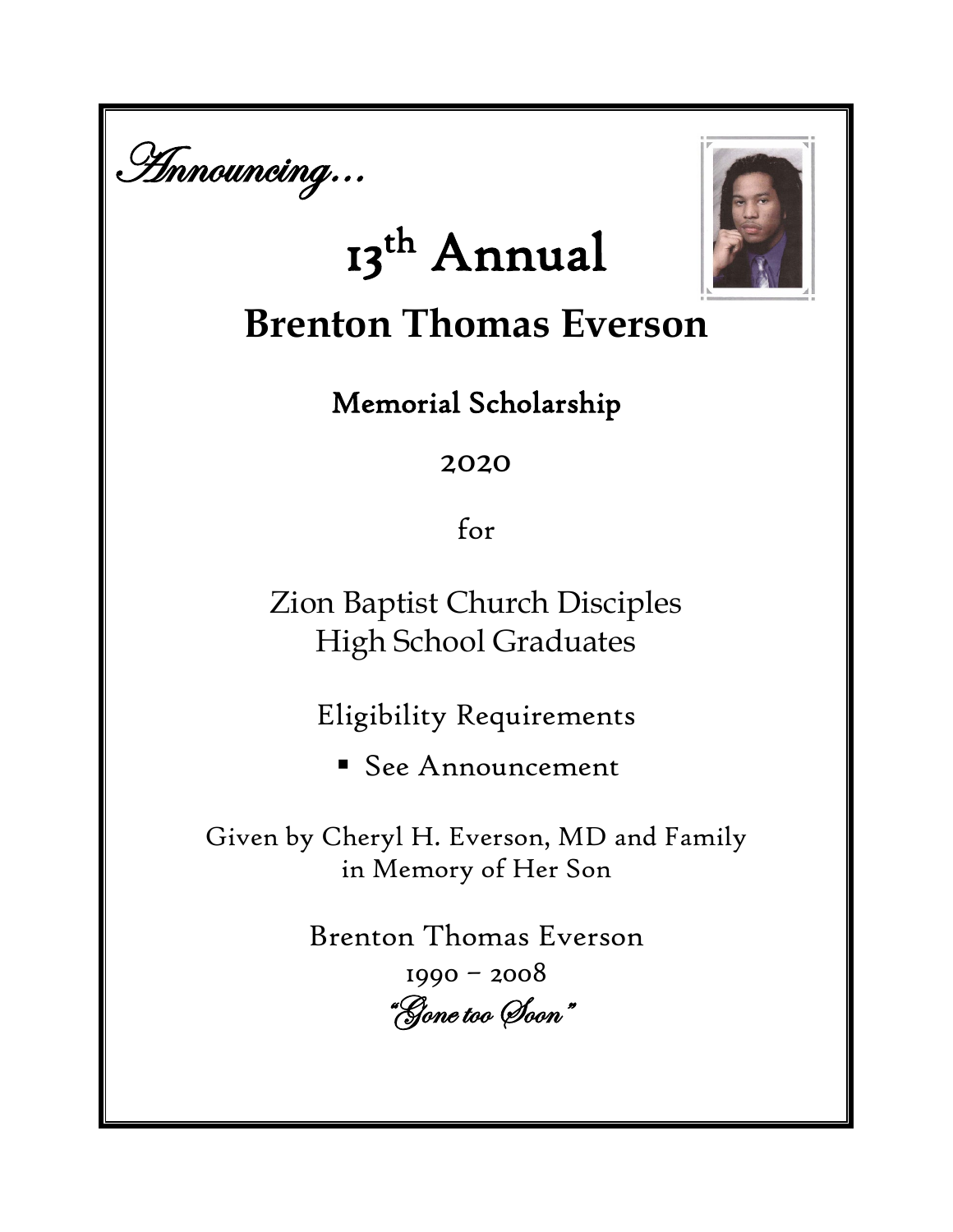

# 13<sup>th</sup> Annual



# **Brenton Thomas Everson**

# Memorial Scholarship

## 2020

for

Zion Baptist Church Disciples High School Graduates

Eligibility Requirements

See Announcement

Given by Cheryl H. Everson, MD and Family in Memory of Her Son

> Brenton Thomas Everson 1990 – 2008 "Gone too Soon"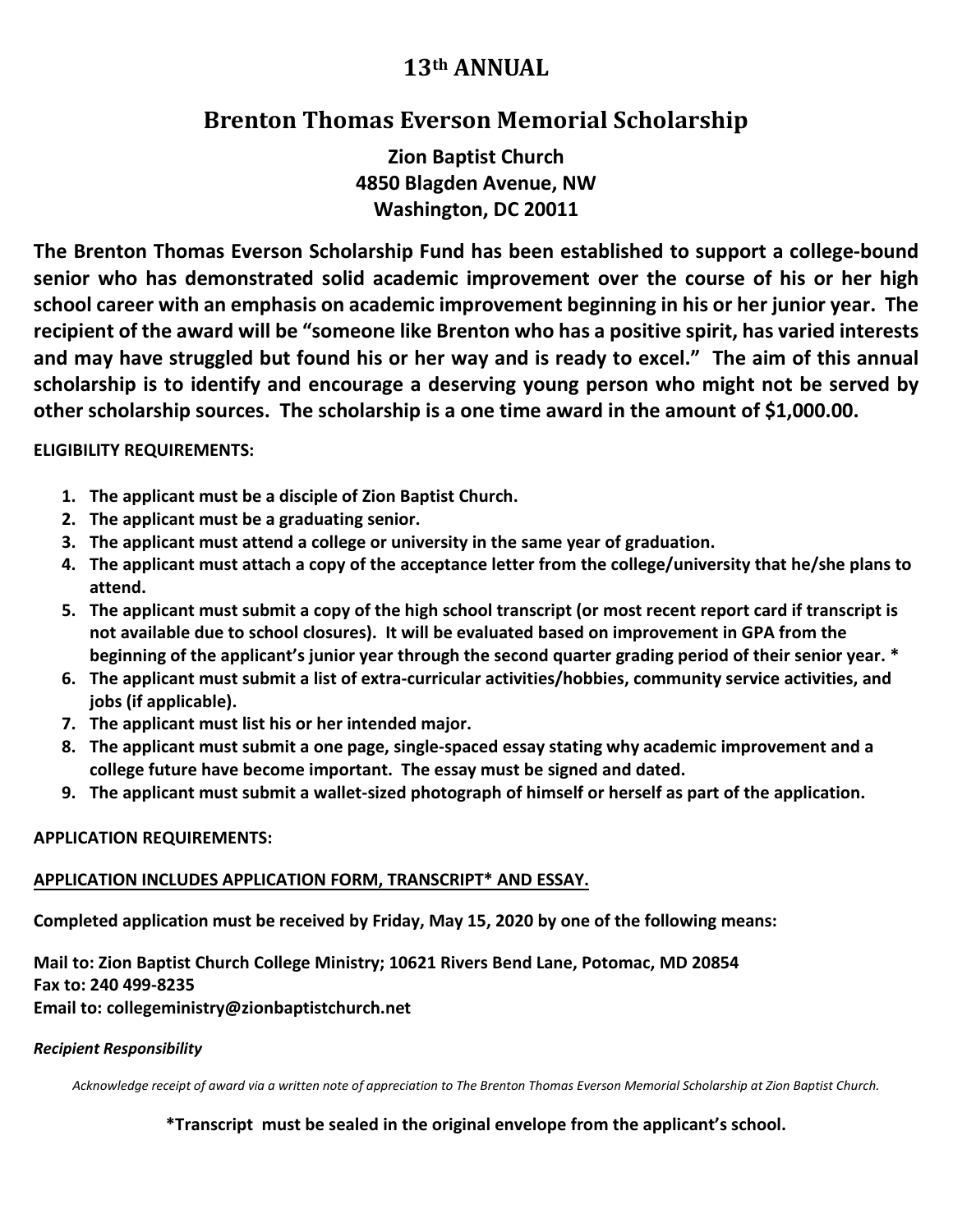### **13th ANNUAL**

### **Brenton Thomas Everson Memorial Scholarship**

**Zion Baptist Church 4850 Blagden Avenue, NW Washington, DC 20011**

**The Brenton Thomas Everson Scholarship Fund has been established to support a college-bound senior who has demonstrated solid academic improvement over the course of his or her high school career with an emphasis on academic improvement beginning in his or her junior year. The recipient of the award will be "someone like Brenton who has a positive spirit, has varied interests and may have struggled but found his or her way and is ready to excel." The aim of this annual scholarship is to identify and encourage a deserving young person who might not be served by other scholarship sources. The scholarship is a one time award in the amount of \$1,000.00.**

#### **ELIGIBILITY REQUIREMENTS:**

- **1. The applicant must be a disciple of Zion Baptist Church.**
- **2. The applicant must be a graduating senior.**
- **3. The applicant must attend a college or university in the same year of graduation.**
- **4. The applicant must attach a copy of the acceptance letter from the college/university that he/she plans to attend.**
- **5. The applicant must submit a copy of the high school transcript (or most recent report card if transcript is not available due to school closures). It will be evaluated based on improvement in GPA from the beginning of the applicant's junior year through the second quarter grading period of their senior year. \***
- **6. The applicant must submit a list of extra-curricular activities/hobbies, community service activities, and jobs (if applicable).**
- **7. The applicant must list his or her intended major.**
- **8. The applicant must submit a one page, single-spaced essay stating why academic improvement and a college future have become important. The essay must be signed and dated.**
- **9. The applicant must submit a wallet-sized photograph of himself or herself as part of the application.**

#### **APPLICATION REQUIREMENTS:**

#### **APPLICATION INCLUDES APPLICATION FORM, TRANSCRIPT\* AND ESSAY.**

**Completed application must be received by Friday, May 15, 2020 by one of the following means:** 

**Mail to: Zion Baptist Church College Ministry; 10621 Rivers Bend Lane, Potomac, MD 20854 Fax to: 240 499-8235 Email to: collegeministry@zionbaptistchurch.net**

#### *Recipient Responsibility*

*Acknowledge receipt of award via a written note of appreciation to The Brenton Thomas Everson Memorial Scholarship at Zion Baptist Church.*

**\*Transcript must be sealed in the original envelope from the applicant's school.**